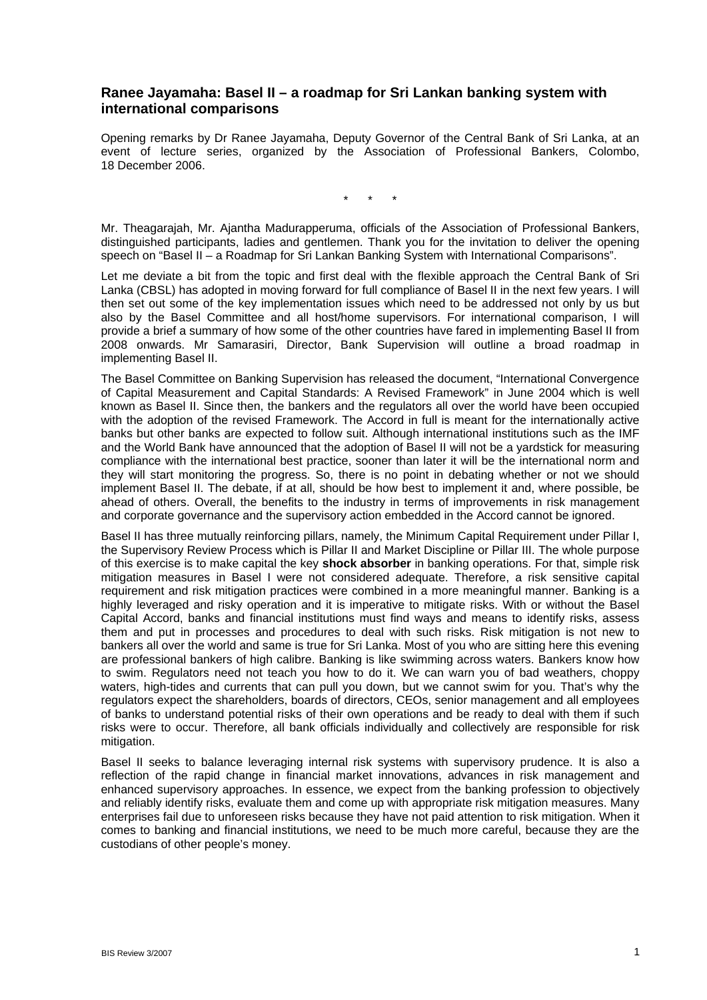# **Ranee Jayamaha: Basel II – a roadmap for Sri Lankan banking system with international comparisons**

Opening remarks by Dr Ranee Jayamaha, Deputy Governor of the Central Bank of Sri Lanka, at an event of lecture series, organized by the Association of Professional Bankers, Colombo, 18 December 2006.

\* \* \*

Mr. Theagarajah, Mr. Ajantha Madurapperuma, officials of the Association of Professional Bankers, distinguished participants, ladies and gentlemen. Thank you for the invitation to deliver the opening speech on "Basel II – a Roadmap for Sri Lankan Banking System with International Comparisons".

Let me deviate a bit from the topic and first deal with the flexible approach the Central Bank of Sri Lanka (CBSL) has adopted in moving forward for full compliance of Basel II in the next few years. I will then set out some of the key implementation issues which need to be addressed not only by us but also by the Basel Committee and all host/home supervisors. For international comparison, I will provide a brief a summary of how some of the other countries have fared in implementing Basel II from 2008 onwards. Mr Samarasiri, Director, Bank Supervision will outline a broad roadmap in implementing Basel II.

The Basel Committee on Banking Supervision has released the document, "International Convergence of Capital Measurement and Capital Standards: A Revised Framework" in June 2004 which is well known as Basel II. Since then, the bankers and the regulators all over the world have been occupied with the adoption of the revised Framework. The Accord in full is meant for the internationally active banks but other banks are expected to follow suit. Although international institutions such as the IMF and the World Bank have announced that the adoption of Basel II will not be a yardstick for measuring compliance with the international best practice, sooner than later it will be the international norm and they will start monitoring the progress. So, there is no point in debating whether or not we should implement Basel II. The debate, if at all, should be how best to implement it and, where possible, be ahead of others. Overall, the benefits to the industry in terms of improvements in risk management and corporate governance and the supervisory action embedded in the Accord cannot be ignored.

Basel II has three mutually reinforcing pillars, namely, the Minimum Capital Requirement under Pillar I, the Supervisory Review Process which is Pillar II and Market Discipline or Pillar III. The whole purpose of this exercise is to make capital the key **shock absorber** in banking operations. For that, simple risk mitigation measures in Basel I were not considered adequate. Therefore, a risk sensitive capital requirement and risk mitigation practices were combined in a more meaningful manner. Banking is a highly leveraged and risky operation and it is imperative to mitigate risks. With or without the Basel Capital Accord, banks and financial institutions must find ways and means to identify risks, assess them and put in processes and procedures to deal with such risks. Risk mitigation is not new to bankers all over the world and same is true for Sri Lanka. Most of you who are sitting here this evening are professional bankers of high calibre. Banking is like swimming across waters. Bankers know how to swim. Regulators need not teach you how to do it. We can warn you of bad weathers, choppy waters, high-tides and currents that can pull you down, but we cannot swim for you. That's why the regulators expect the shareholders, boards of directors, CEOs, senior management and all employees of banks to understand potential risks of their own operations and be ready to deal with them if such risks were to occur. Therefore, all bank officials individually and collectively are responsible for risk mitigation.

Basel II seeks to balance leveraging internal risk systems with supervisory prudence. It is also a reflection of the rapid change in financial market innovations, advances in risk management and enhanced supervisory approaches. In essence, we expect from the banking profession to objectively and reliably identify risks, evaluate them and come up with appropriate risk mitigation measures. Many enterprises fail due to unforeseen risks because they have not paid attention to risk mitigation. When it comes to banking and financial institutions, we need to be much more careful, because they are the custodians of other people's money.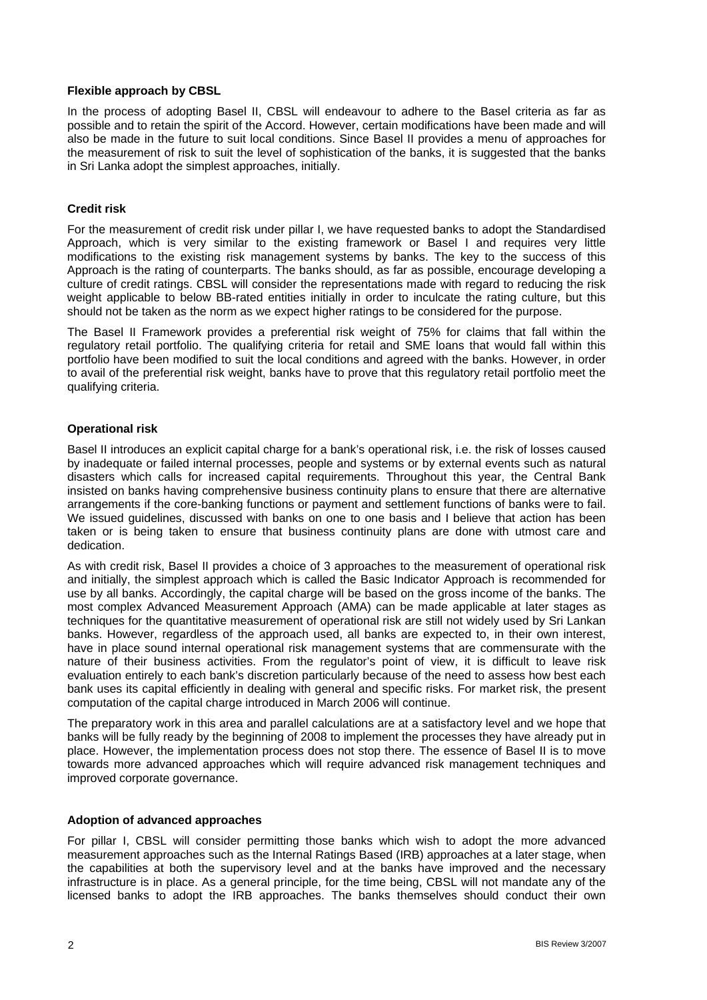#### **Flexible approach by CBSL**

In the process of adopting Basel II, CBSL will endeavour to adhere to the Basel criteria as far as possible and to retain the spirit of the Accord. However, certain modifications have been made and will also be made in the future to suit local conditions. Since Basel II provides a menu of approaches for the measurement of risk to suit the level of sophistication of the banks, it is suggested that the banks in Sri Lanka adopt the simplest approaches, initially.

### **Credit risk**

For the measurement of credit risk under pillar I, we have requested banks to adopt the Standardised Approach, which is very similar to the existing framework or Basel I and requires very little modifications to the existing risk management systems by banks. The key to the success of this Approach is the rating of counterparts. The banks should, as far as possible, encourage developing a culture of credit ratings. CBSL will consider the representations made with regard to reducing the risk weight applicable to below BB-rated entities initially in order to inculcate the rating culture, but this should not be taken as the norm as we expect higher ratings to be considered for the purpose.

The Basel II Framework provides a preferential risk weight of 75% for claims that fall within the regulatory retail portfolio. The qualifying criteria for retail and SME loans that would fall within this portfolio have been modified to suit the local conditions and agreed with the banks. However, in order to avail of the preferential risk weight, banks have to prove that this regulatory retail portfolio meet the qualifying criteria.

### **Operational risk**

Basel II introduces an explicit capital charge for a bank's operational risk, i.e. the risk of losses caused by inadequate or failed internal processes, people and systems or by external events such as natural disasters which calls for increased capital requirements. Throughout this year, the Central Bank insisted on banks having comprehensive business continuity plans to ensure that there are alternative arrangements if the core-banking functions or payment and settlement functions of banks were to fail. We issued guidelines, discussed with banks on one to one basis and I believe that action has been taken or is being taken to ensure that business continuity plans are done with utmost care and dedication.

As with credit risk, Basel II provides a choice of 3 approaches to the measurement of operational risk and initially, the simplest approach which is called the Basic Indicator Approach is recommended for use by all banks. Accordingly, the capital charge will be based on the gross income of the banks. The most complex Advanced Measurement Approach (AMA) can be made applicable at later stages as techniques for the quantitative measurement of operational risk are still not widely used by Sri Lankan banks. However, regardless of the approach used, all banks are expected to, in their own interest, have in place sound internal operational risk management systems that are commensurate with the nature of their business activities. From the regulator's point of view, it is difficult to leave risk evaluation entirely to each bank's discretion particularly because of the need to assess how best each bank uses its capital efficiently in dealing with general and specific risks. For market risk, the present computation of the capital charge introduced in March 2006 will continue.

The preparatory work in this area and parallel calculations are at a satisfactory level and we hope that banks will be fully ready by the beginning of 2008 to implement the processes they have already put in place. However, the implementation process does not stop there. The essence of Basel II is to move towards more advanced approaches which will require advanced risk management techniques and improved corporate governance.

# **Adoption of advanced approaches**

For pillar I, CBSL will consider permitting those banks which wish to adopt the more advanced measurement approaches such as the Internal Ratings Based (IRB) approaches at a later stage, when the capabilities at both the supervisory level and at the banks have improved and the necessary infrastructure is in place. As a general principle, for the time being, CBSL will not mandate any of the licensed banks to adopt the IRB approaches. The banks themselves should conduct their own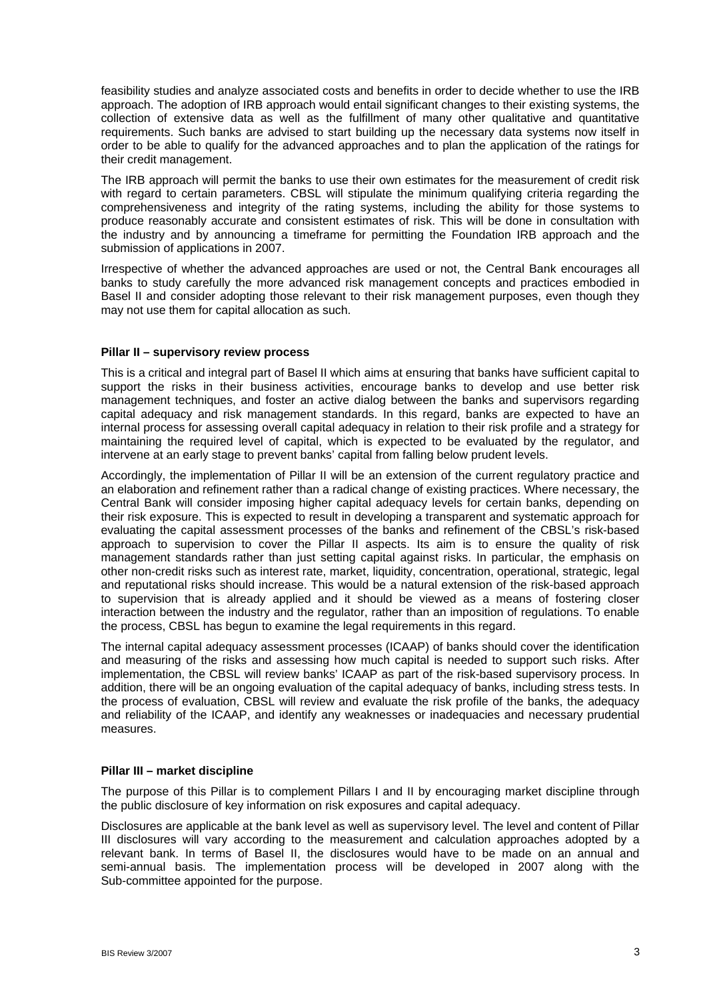feasibility studies and analyze associated costs and benefits in order to decide whether to use the IRB approach. The adoption of IRB approach would entail significant changes to their existing systems, the collection of extensive data as well as the fulfillment of many other qualitative and quantitative requirements. Such banks are advised to start building up the necessary data systems now itself in order to be able to qualify for the advanced approaches and to plan the application of the ratings for their credit management.

The IRB approach will permit the banks to use their own estimates for the measurement of credit risk with regard to certain parameters. CBSL will stipulate the minimum qualifying criteria regarding the comprehensiveness and integrity of the rating systems, including the ability for those systems to produce reasonably accurate and consistent estimates of risk. This will be done in consultation with the industry and by announcing a timeframe for permitting the Foundation IRB approach and the submission of applications in 2007.

Irrespective of whether the advanced approaches are used or not, the Central Bank encourages all banks to study carefully the more advanced risk management concepts and practices embodied in Basel II and consider adopting those relevant to their risk management purposes, even though they may not use them for capital allocation as such.

### **Pillar II – supervisory review process**

This is a critical and integral part of Basel II which aims at ensuring that banks have sufficient capital to support the risks in their business activities, encourage banks to develop and use better risk management techniques, and foster an active dialog between the banks and supervisors regarding capital adequacy and risk management standards. In this regard, banks are expected to have an internal process for assessing overall capital adequacy in relation to their risk profile and a strategy for maintaining the required level of capital, which is expected to be evaluated by the regulator, and intervene at an early stage to prevent banks' capital from falling below prudent levels.

Accordingly, the implementation of Pillar II will be an extension of the current regulatory practice and an elaboration and refinement rather than a radical change of existing practices. Where necessary, the Central Bank will consider imposing higher capital adequacy levels for certain banks, depending on their risk exposure. This is expected to result in developing a transparent and systematic approach for evaluating the capital assessment processes of the banks and refinement of the CBSL's risk-based approach to supervision to cover the Pillar II aspects. Its aim is to ensure the quality of risk management standards rather than just setting capital against risks. In particular, the emphasis on other non-credit risks such as interest rate, market, liquidity, concentration, operational, strategic, legal and reputational risks should increase. This would be a natural extension of the risk-based approach to supervision that is already applied and it should be viewed as a means of fostering closer interaction between the industry and the regulator, rather than an imposition of regulations. To enable the process, CBSL has begun to examine the legal requirements in this regard.

The internal capital adequacy assessment processes (ICAAP) of banks should cover the identification and measuring of the risks and assessing how much capital is needed to support such risks. After implementation, the CBSL will review banks' ICAAP as part of the risk-based supervisory process. In addition, there will be an ongoing evaluation of the capital adequacy of banks, including stress tests. In the process of evaluation, CBSL will review and evaluate the risk profile of the banks, the adequacy and reliability of the ICAAP, and identify any weaknesses or inadequacies and necessary prudential measures.

#### **Pillar III – market discipline**

The purpose of this Pillar is to complement Pillars I and II by encouraging market discipline through the public disclosure of key information on risk exposures and capital adequacy.

Disclosures are applicable at the bank level as well as supervisory level. The level and content of Pillar III disclosures will vary according to the measurement and calculation approaches adopted by a relevant bank. In terms of Basel II, the disclosures would have to be made on an annual and semi-annual basis. The implementation process will be developed in 2007 along with the Sub-committee appointed for the purpose.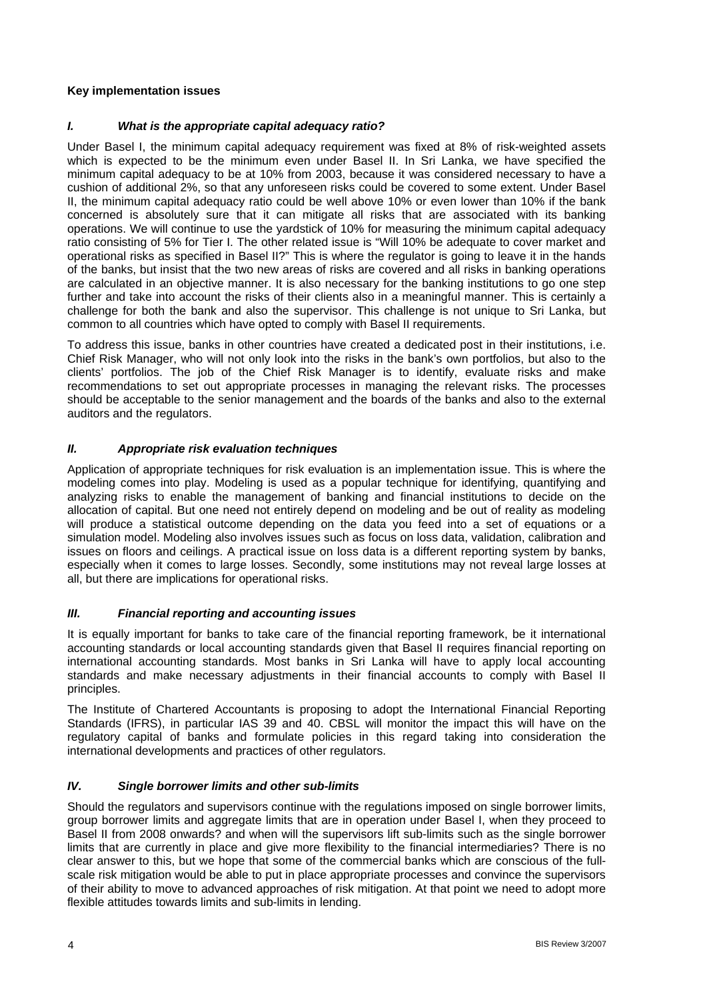### **Key implementation issues**

### *I. What is the appropriate capital adequacy ratio?*

Under Basel I, the minimum capital adequacy requirement was fixed at 8% of risk-weighted assets which is expected to be the minimum even under Basel II. In Sri Lanka, we have specified the minimum capital adequacy to be at 10% from 2003, because it was considered necessary to have a cushion of additional 2%, so that any unforeseen risks could be covered to some extent. Under Basel II, the minimum capital adequacy ratio could be well above 10% or even lower than 10% if the bank concerned is absolutely sure that it can mitigate all risks that are associated with its banking operations. We will continue to use the yardstick of 10% for measuring the minimum capital adequacy ratio consisting of 5% for Tier I. The other related issue is "Will 10% be adequate to cover market and operational risks as specified in Basel II?" This is where the regulator is going to leave it in the hands of the banks, but insist that the two new areas of risks are covered and all risks in banking operations are calculated in an objective manner. It is also necessary for the banking institutions to go one step further and take into account the risks of their clients also in a meaningful manner. This is certainly a challenge for both the bank and also the supervisor. This challenge is not unique to Sri Lanka, but common to all countries which have opted to comply with Basel II requirements.

To address this issue, banks in other countries have created a dedicated post in their institutions, i.e. Chief Risk Manager, who will not only look into the risks in the bank's own portfolios, but also to the clients' portfolios. The job of the Chief Risk Manager is to identify, evaluate risks and make recommendations to set out appropriate processes in managing the relevant risks. The processes should be acceptable to the senior management and the boards of the banks and also to the external auditors and the regulators.

### *II. Appropriate risk evaluation techniques*

Application of appropriate techniques for risk evaluation is an implementation issue. This is where the modeling comes into play. Modeling is used as a popular technique for identifying, quantifying and analyzing risks to enable the management of banking and financial institutions to decide on the allocation of capital. But one need not entirely depend on modeling and be out of reality as modeling will produce a statistical outcome depending on the data you feed into a set of equations or a simulation model. Modeling also involves issues such as focus on loss data, validation, calibration and issues on floors and ceilings. A practical issue on loss data is a different reporting system by banks, especially when it comes to large losses. Secondly, some institutions may not reveal large losses at all, but there are implications for operational risks.

# *III. Financial reporting and accounting issues*

It is equally important for banks to take care of the financial reporting framework, be it international accounting standards or local accounting standards given that Basel II requires financial reporting on international accounting standards. Most banks in Sri Lanka will have to apply local accounting standards and make necessary adjustments in their financial accounts to comply with Basel II principles.

The Institute of Chartered Accountants is proposing to adopt the International Financial Reporting Standards (IFRS), in particular IAS 39 and 40. CBSL will monitor the impact this will have on the regulatory capital of banks and formulate policies in this regard taking into consideration the international developments and practices of other regulators.

#### *IV. Single borrower limits and other sub-limits*

Should the regulators and supervisors continue with the regulations imposed on single borrower limits, group borrower limits and aggregate limits that are in operation under Basel I, when they proceed to Basel II from 2008 onwards? and when will the supervisors lift sub-limits such as the single borrower limits that are currently in place and give more flexibility to the financial intermediaries? There is no clear answer to this, but we hope that some of the commercial banks which are conscious of the fullscale risk mitigation would be able to put in place appropriate processes and convince the supervisors of their ability to move to advanced approaches of risk mitigation. At that point we need to adopt more flexible attitudes towards limits and sub-limits in lending.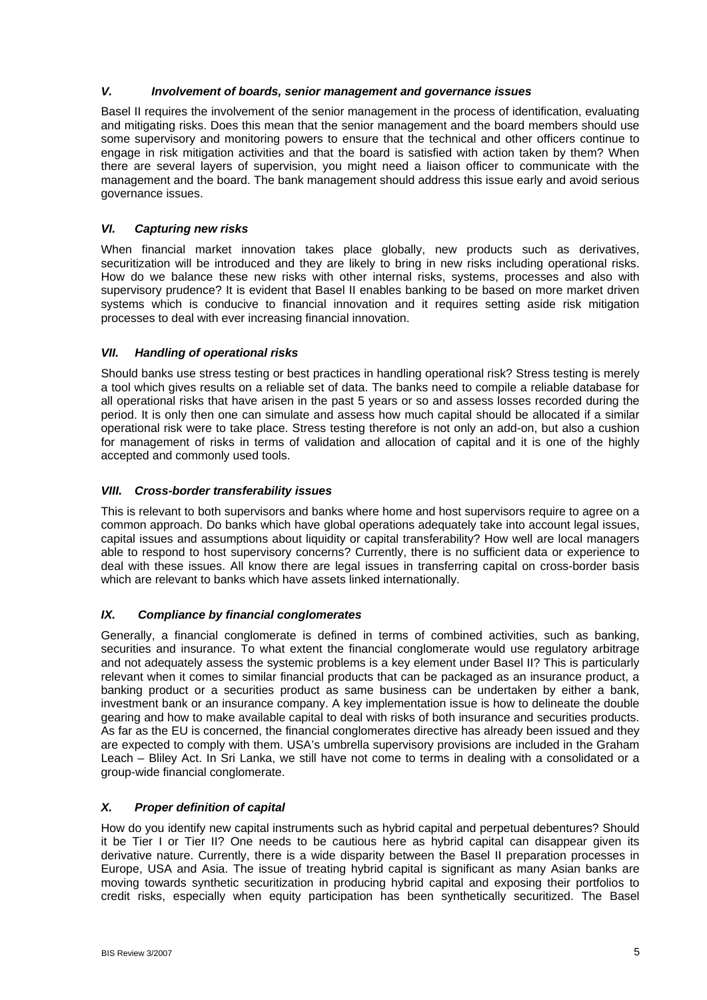# *V. Involvement of boards, senior management and governance issues*

Basel II requires the involvement of the senior management in the process of identification, evaluating and mitigating risks. Does this mean that the senior management and the board members should use some supervisory and monitoring powers to ensure that the technical and other officers continue to engage in risk mitigation activities and that the board is satisfied with action taken by them? When there are several layers of supervision, you might need a liaison officer to communicate with the management and the board. The bank management should address this issue early and avoid serious governance issues.

# *VI. Capturing new risks*

When financial market innovation takes place globally, new products such as derivatives, securitization will be introduced and they are likely to bring in new risks including operational risks. How do we balance these new risks with other internal risks, systems, processes and also with supervisory prudence? It is evident that Basel II enables banking to be based on more market driven systems which is conducive to financial innovation and it requires setting aside risk mitigation processes to deal with ever increasing financial innovation.

# *VII. Handling of operational risks*

Should banks use stress testing or best practices in handling operational risk? Stress testing is merely a tool which gives results on a reliable set of data. The banks need to compile a reliable database for all operational risks that have arisen in the past 5 years or so and assess losses recorded during the period. It is only then one can simulate and assess how much capital should be allocated if a similar operational risk were to take place. Stress testing therefore is not only an add-on, but also a cushion for management of risks in terms of validation and allocation of capital and it is one of the highly accepted and commonly used tools.

### *VIII. Cross-border transferability issues*

This is relevant to both supervisors and banks where home and host supervisors require to agree on a common approach. Do banks which have global operations adequately take into account legal issues, capital issues and assumptions about liquidity or capital transferability? How well are local managers able to respond to host supervisory concerns? Currently, there is no sufficient data or experience to deal with these issues. All know there are legal issues in transferring capital on cross-border basis which are relevant to banks which have assets linked internationally.

# *IX. Compliance by financial conglomerates*

Generally, a financial conglomerate is defined in terms of combined activities, such as banking, securities and insurance. To what extent the financial conglomerate would use regulatory arbitrage and not adequately assess the systemic problems is a key element under Basel II? This is particularly relevant when it comes to similar financial products that can be packaged as an insurance product, a banking product or a securities product as same business can be undertaken by either a bank, investment bank or an insurance company. A key implementation issue is how to delineate the double gearing and how to make available capital to deal with risks of both insurance and securities products. As far as the EU is concerned, the financial conglomerates directive has already been issued and they are expected to comply with them. USA's umbrella supervisory provisions are included in the Graham Leach – Bliley Act. In Sri Lanka, we still have not come to terms in dealing with a consolidated or a group-wide financial conglomerate.

# *X. Proper definition of capital*

How do you identify new capital instruments such as hybrid capital and perpetual debentures? Should it be Tier I or Tier II? One needs to be cautious here as hybrid capital can disappear given its derivative nature. Currently, there is a wide disparity between the Basel II preparation processes in Europe, USA and Asia. The issue of treating hybrid capital is significant as many Asian banks are moving towards synthetic securitization in producing hybrid capital and exposing their portfolios to credit risks, especially when equity participation has been synthetically securitized. The Basel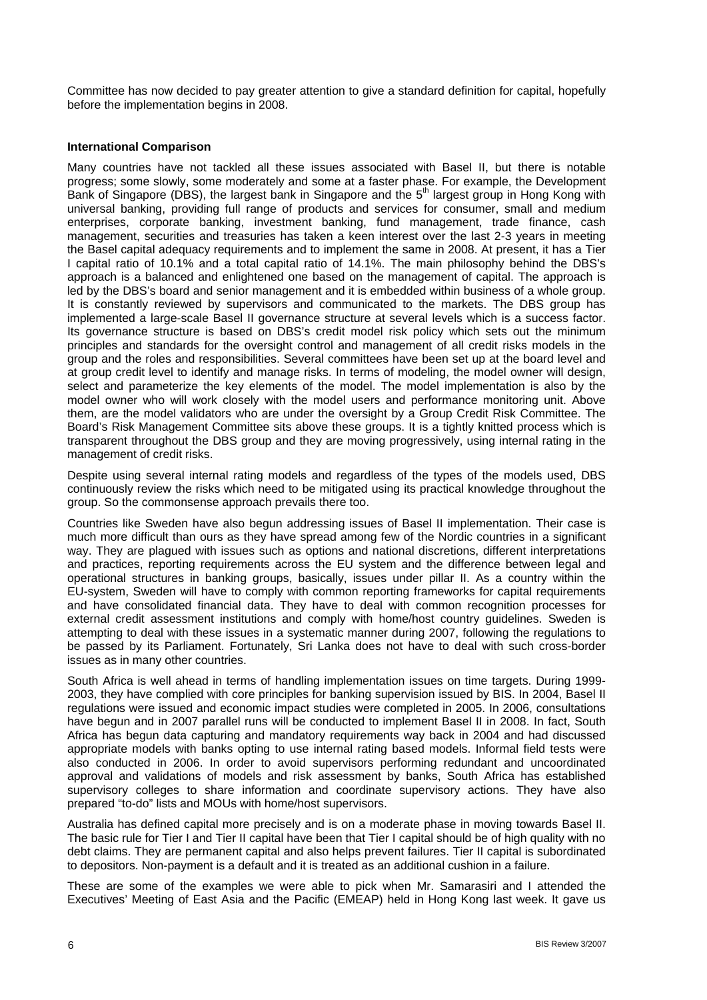Committee has now decided to pay greater attention to give a standard definition for capital, hopefully before the implementation begins in 2008.

### **International Comparison**

Many countries have not tackled all these issues associated with Basel II, but there is notable progress; some slowly, some moderately and some at a faster phase. For example, the Development Bank of Singapore (DBS), the largest bank in Singapore and the 5<sup>th</sup> largest group in Hong Kong with universal banking, providing full range of products and services for consumer, small and medium enterprises, corporate banking, investment banking, fund management, trade finance, cash management, securities and treasuries has taken a keen interest over the last 2-3 years in meeting the Basel capital adequacy requirements and to implement the same in 2008. At present, it has a Tier I capital ratio of 10.1% and a total capital ratio of 14.1%. The main philosophy behind the DBS's approach is a balanced and enlightened one based on the management of capital. The approach is led by the DBS's board and senior management and it is embedded within business of a whole group. It is constantly reviewed by supervisors and communicated to the markets. The DBS group has implemented a large-scale Basel II governance structure at several levels which is a success factor. Its governance structure is based on DBS's credit model risk policy which sets out the minimum principles and standards for the oversight control and management of all credit risks models in the group and the roles and responsibilities. Several committees have been set up at the board level and at group credit level to identify and manage risks. In terms of modeling, the model owner will design, select and parameterize the key elements of the model. The model implementation is also by the model owner who will work closely with the model users and performance monitoring unit. Above them, are the model validators who are under the oversight by a Group Credit Risk Committee. The Board's Risk Management Committee sits above these groups. It is a tightly knitted process which is transparent throughout the DBS group and they are moving progressively, using internal rating in the management of credit risks.

Despite using several internal rating models and regardless of the types of the models used, DBS continuously review the risks which need to be mitigated using its practical knowledge throughout the group. So the commonsense approach prevails there too.

Countries like Sweden have also begun addressing issues of Basel II implementation. Their case is much more difficult than ours as they have spread among few of the Nordic countries in a significant way. They are plagued with issues such as options and national discretions, different interpretations and practices, reporting requirements across the EU system and the difference between legal and operational structures in banking groups, basically, issues under pillar II. As a country within the EU-system, Sweden will have to comply with common reporting frameworks for capital requirements and have consolidated financial data. They have to deal with common recognition processes for external credit assessment institutions and comply with home/host country guidelines. Sweden is attempting to deal with these issues in a systematic manner during 2007, following the regulations to be passed by its Parliament. Fortunately, Sri Lanka does not have to deal with such cross-border issues as in many other countries.

South Africa is well ahead in terms of handling implementation issues on time targets. During 1999- 2003, they have complied with core principles for banking supervision issued by BIS. In 2004, Basel II regulations were issued and economic impact studies were completed in 2005. In 2006, consultations have begun and in 2007 parallel runs will be conducted to implement Basel II in 2008. In fact, South Africa has begun data capturing and mandatory requirements way back in 2004 and had discussed appropriate models with banks opting to use internal rating based models. Informal field tests were also conducted in 2006. In order to avoid supervisors performing redundant and uncoordinated approval and validations of models and risk assessment by banks, South Africa has established supervisory colleges to share information and coordinate supervisory actions. They have also prepared "to-do" lists and MOUs with home/host supervisors.

Australia has defined capital more precisely and is on a moderate phase in moving towards Basel II. The basic rule for Tier I and Tier II capital have been that Tier I capital should be of high quality with no debt claims. They are permanent capital and also helps prevent failures. Tier II capital is subordinated to depositors. Non-payment is a default and it is treated as an additional cushion in a failure.

These are some of the examples we were able to pick when Mr. Samarasiri and I attended the Executives' Meeting of East Asia and the Pacific (EMEAP) held in Hong Kong last week. It gave us